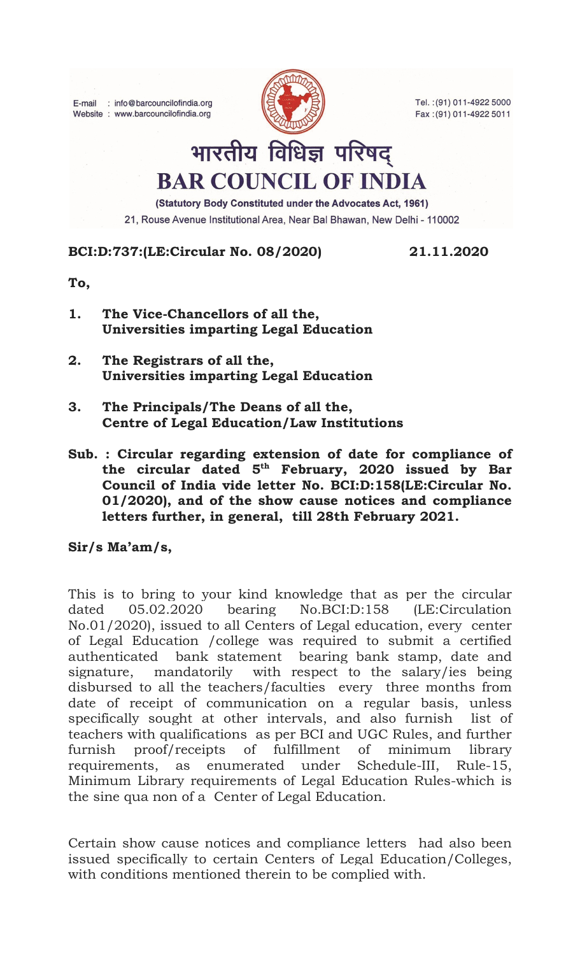E-mail : info@barcouncilofindia.org Website : www.barcouncilofindia.org



Tel.: (91) 011-4922 5000 Fax: (91) 011-4922 5011

## भारतीय विधिज्ञ परिषद् **BAR COUNCIL OF INDIA**

(Statutory Body Constituted under the Advocates Act, 1961)

21, Rouse Avenue Institutional Area, Near Bal Bhawan, New Delhi - 110002

## BCI:D:737:(LE:Circular No. 08/2020) 21.11.2020

To,

- 1. The Vice-Chancellors of all the, Universities imparting Legal Education
- 2. The Registrars of all the, Universities imparting Legal Education
- 3. The Principals/The Deans of all the, Centre of Legal Education/Law Institutions
- Sub. : Circular regarding extension of date for compliance of the circular dated  $5<sup>th</sup>$  February, 2020 issued by Bar Council of India vide letter No. BCI:D:158(LE:Circular No. 01/2020), and of the show cause notices and compliance letters further, in general, till 28th February 2021.

Sir/s Ma'am/s,

This is to bring to your kind knowledge that as per the circular dated 05.02.2020 bearing No.BCI:D:158 (LE:Circulation No.01/2020), issued to all Centers of Legal education, every center of Legal Education /college was required to submit a certified authenticated bank statement bearing bank stamp, date and signature, mandatorily with respect to the salary/ies being disbursed to all the teachers/faculties every three months from date of receipt of communication on a regular basis, unless specifically sought at other intervals, and also furnish list of teachers with qualifications as per BCI and UGC Rules, and further furnish proof/receipts of fulfillment of minimum library requirements, as enumerated under Schedule-III, Rule-15, Minimum Library requirements of Legal Education Rules-which is the sine qua non of a Center of Legal Education.

Certain show cause notices and compliance letters had also been issued specifically to certain Centers of Legal Education/Colleges, with conditions mentioned therein to be complied with.